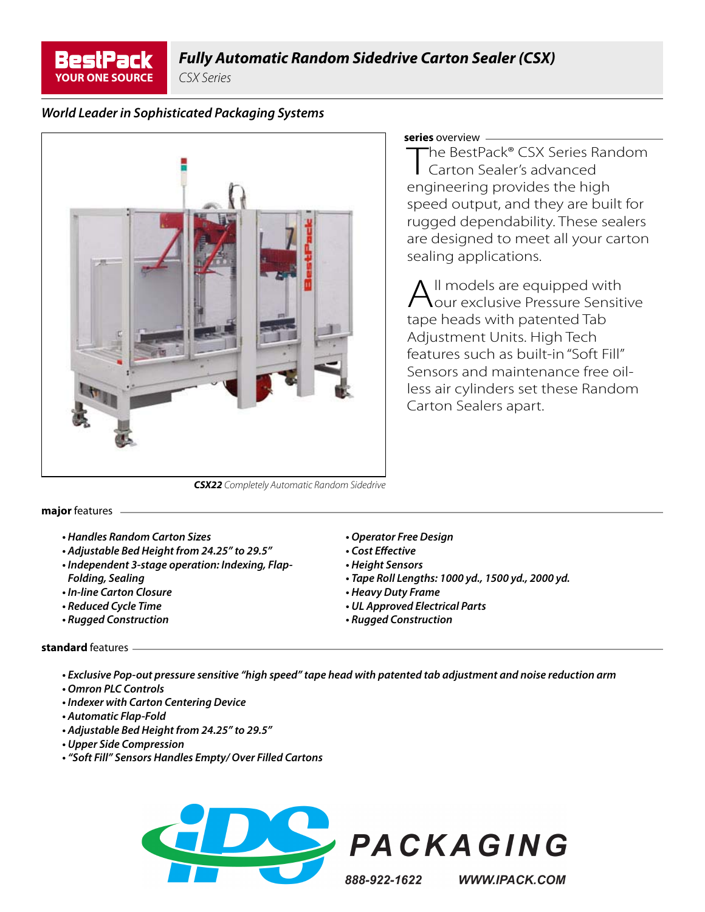

CSX Series

## *World Leader in Sophisticated Packaging Systems*



### **series** overview

The BestPack® CSX Series Random Carton Sealer's advanced engineering provides the high speed output, and they are built for rugged dependability. These sealers are designed to meet all your carton sealing applications.

 $\Lambda$  II models are equipped with our exclusive Pressure Sensitive tape heads with patented Tab Adjustment Units. High Tech features such as built-in "Soft Fill" Sensors and maintenance free oilless air cylinders set these Random Carton Sealers apart.

*CSX22* Completely Automatic Random Sidedrive

### **major** features

- *Handles Random Carton Sizes*
- *Adjustable Bed Height from 24.25" to 29.5"*
- *Independent 3-stage operation: Indexing, Flap-*
- *Folding, Sealing • In-line Carton Closure*
- 
- *Reduced Cycle Time • Rugged Construction*
- *Operator Free Design*
- *Cost Eff ective*
- *Height Sensors*
- *Tape Roll Lengths: 1000 yd., 1500 yd., 2000 yd.*
- *Heavy Duty Frame*
- *UL Approved Electrical Parts*
- *Rugged Construction*

### **standard** features

- *Exclusive Pop-out pressure sensitive "high speed" tape head with patented tab adjustment and noise reduction arm*
- *Omron PLC Controls*
- *Indexer with Carton Centering Device*
- *Automatic Flap-Fold*
- *Adjustable Bed Height from 24.25" to 29.5"*
- *Upper Side Compression*
- *"Soft Fill" Sensors Handles Empty/ Over Filled Cartons*





888-922-1622

**WWW.IPACK.COM**